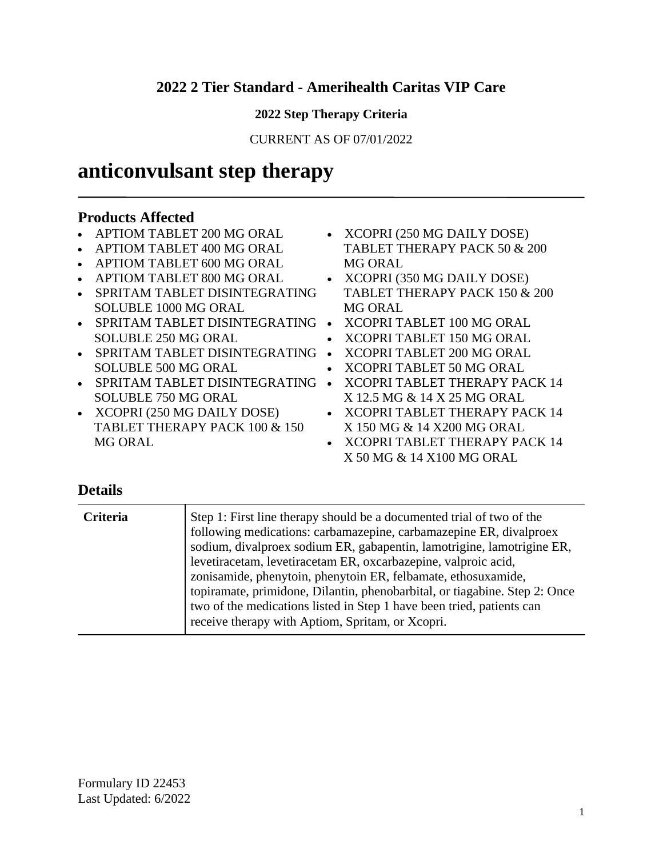### **2022 2 Tier Standard - Amerihealth Caritas VIP Care**

#### **2022 Step Therapy Criteria**

CURRENT AS OF 07/01/2022

# **anticonvulsant step therapy**

#### **Products Affected**

- APTIOM TABLET 200 MG ORAL
- APTIOM TABLET 400 MG ORAL
- APTIOM TABLET 600 MG ORAL
- APTIOM TABLET 800 MG ORAL
- SPRITAM TABLET DISINTEGRATING SOLUBLE 1000 MG ORAL
- SPRITAM TABLET DISINTEGRATING XCOPRI TABLET 100 MG ORAL SOLUBLE 250 MG ORAL
- SPRITAM TABLET DISINTEGRATING XCOPRI TABLET 200 MG ORAL SOLUBLE 500 MG ORAL
- SPRITAM TABLET DISINTEGRATING XCOPRI TABLET THERAPY PACK 14 SOLUBLE 750 MG ORAL
- XCOPRI (250 MG DAILY DOSE) TABLET THERAPY PACK 100 & 150 MG ORAL
- XCOPRI (250 MG DAILY DOSE) TABLET THERAPY PACK 50 & 200 MG ORAL
- XCOPRI (350 MG DAILY DOSE) TABLET THERAPY PACK 150 & 200 MG ORAL
- 
- XCOPRI TABLET 150 MG ORAL
- 
- XCOPRI TABLET 50 MG ORAL
- X 12.5 MG & 14 X 25 MG ORAL
- XCOPRI TABLET THERAPY PACK 14 X 150 MG & 14 X200 MG ORAL
- XCOPRI TABLET THERAPY PACK 14 X 50 MG & 14 X100 MG ORAL

| Criteria | Step 1: First line therapy should be a documented trial of two of the<br>following medications: carbamazepine, carbamazepine ER, divalproex<br>sodium, divalproex sodium ER, gabapentin, lamotrigine, lamotrigine ER,<br>levetiracetam, levetiracetam ER, oxcarbazepine, valproic acid,<br>zonisamide, phenytoin, phenytoin ER, felbamate, ethosuxamide,<br>topiramate, primidone, Dilantin, phenobarbital, or tiagabine. Step 2: Once<br>two of the medications listed in Step 1 have been tried, patients can<br>receive therapy with Aptiom, Spritam, or Xcopri. |
|----------|---------------------------------------------------------------------------------------------------------------------------------------------------------------------------------------------------------------------------------------------------------------------------------------------------------------------------------------------------------------------------------------------------------------------------------------------------------------------------------------------------------------------------------------------------------------------|
|----------|---------------------------------------------------------------------------------------------------------------------------------------------------------------------------------------------------------------------------------------------------------------------------------------------------------------------------------------------------------------------------------------------------------------------------------------------------------------------------------------------------------------------------------------------------------------------|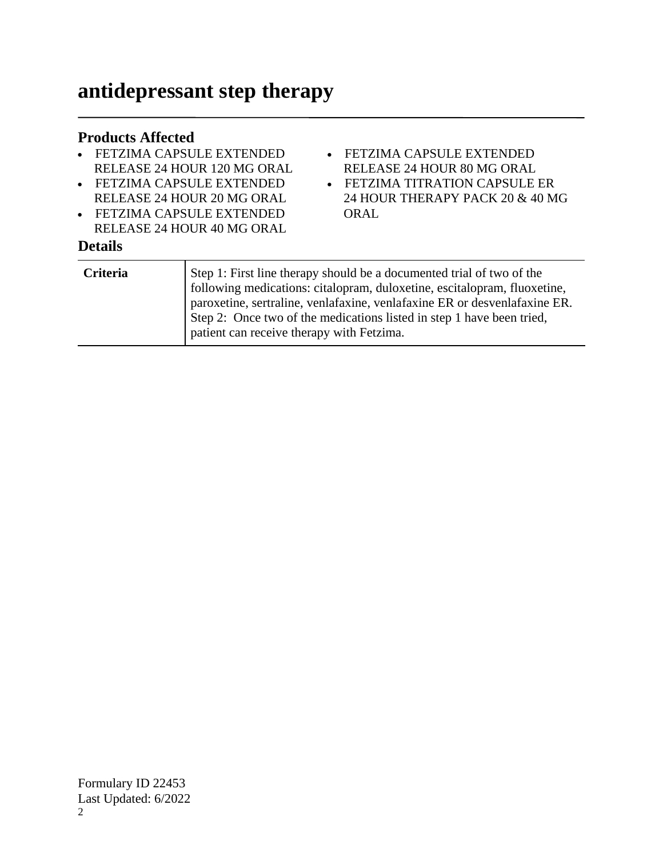# **antidepressant step therapy**

#### **Products Affected**

- FETZIMA CAPSULE EXTENDED RELEASE 24 HOUR 120 MG ORAL
- FETZIMA CAPSULE EXTENDED RELEASE 24 HOUR 20 MG ORAL
- FETZIMA CAPSULE EXTENDED RELEASE 24 HOUR 40 MG ORAL

- FETZIMA CAPSULE EXTENDED RELEASE 24 HOUR 80 MG ORAL
- FETZIMA TITRATION CAPSULE ER 24 HOUR THERAPY PACK 20 & 40 MG ORAL

| <b>Criteria</b> | Step 1: First line therapy should be a documented trial of two of the     |
|-----------------|---------------------------------------------------------------------------|
|                 | following medications: citalopram, duloxetine, escitalopram, fluoxetine,  |
|                 | paroxetine, sertraline, venlafaxine, venlafaxine ER or desvenlafaxine ER. |
|                 | Step 2: Once two of the medications listed in step 1 have been tried,     |
|                 | patient can receive therapy with Fetzima.                                 |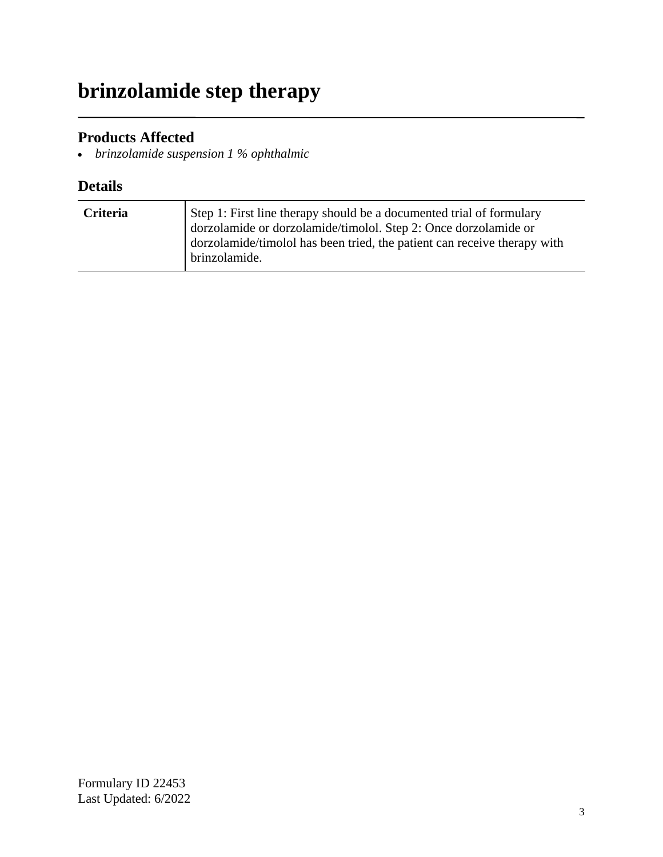# **brinzolamide step therapy**

### **Products Affected**

*brinzolamide suspension 1 % ophthalmic*

| <b>Criteria</b> | Step 1: First line therapy should be a documented trial of formulary<br>dorzolamide or dorzolamide/timolol. Step 2: Once dorzolamide or<br>dorzolamide/timolol has been tried, the patient can receive therapy with<br>brinzolamide. |
|-----------------|--------------------------------------------------------------------------------------------------------------------------------------------------------------------------------------------------------------------------------------|
|                 |                                                                                                                                                                                                                                      |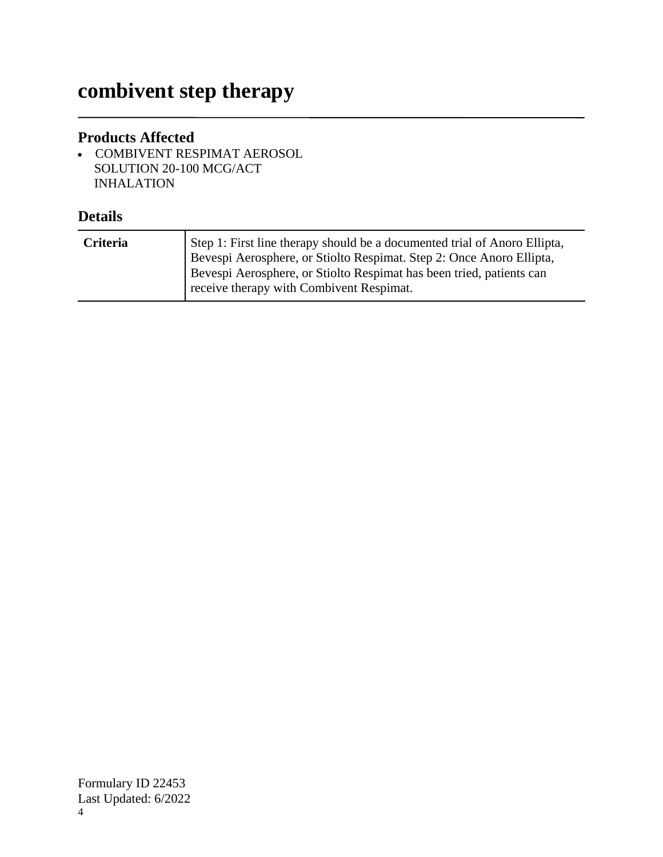# **combivent step therapy**

### **Products Affected**

 COMBIVENT RESPIMAT AEROSOL SOLUTION 20-100 MCG/ACT INHALATION

| <b>Criteria</b> | Step 1: First line therapy should be a documented trial of Anoro Ellipta,                                        |
|-----------------|------------------------------------------------------------------------------------------------------------------|
|                 | Bevespi Aerosphere, or Stiolto Respimat. Step 2: Once Anoro Ellipta,                                             |
|                 | Bevespi Aerosphere, or Stiolto Respimat has been tried, patients can<br>receive therapy with Combivent Respimat. |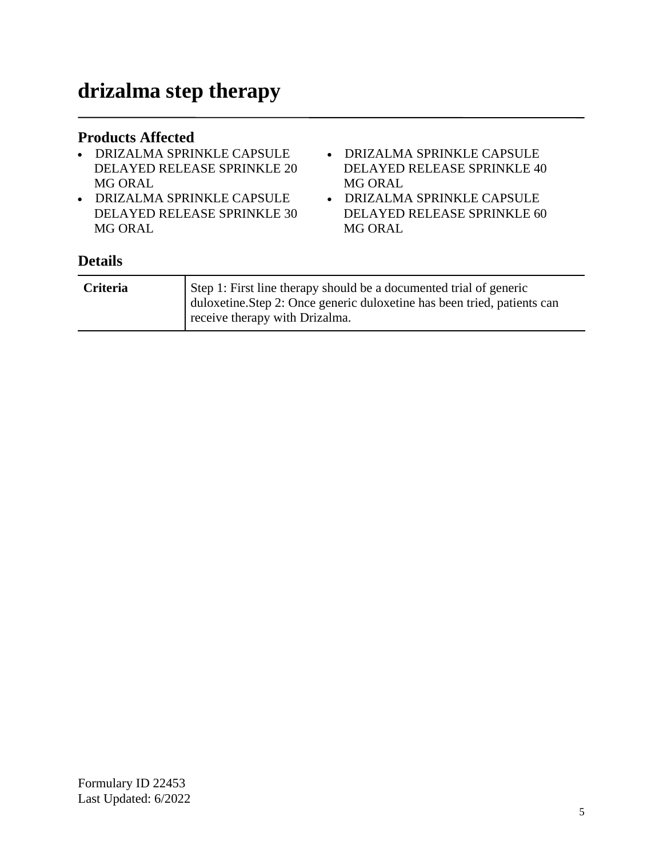#### **Products Affected**

- DRIZALMA SPRINKLE CAPSULE DELAYED RELEASE SPRINKLE 20 MG ORAL
- DRIZALMA SPRINKLE CAPSULE DELAYED RELEASE SPRINKLE 30 MG ORAL
- DRIZALMA SPRINKLE CAPSULE DELAYED RELEASE SPRINKLE 40 MG ORAL
- DRIZALMA SPRINKLE CAPSULE DELAYED RELEASE SPRINKLE 60 MG ORAL

| Criteria | Step 1: First line therapy should be a documented trial of generic<br>duloxetine.Step 2: Once generic duloxetine has been tried, patients can |
|----------|-----------------------------------------------------------------------------------------------------------------------------------------------|
|          | receive therapy with Drizalma.                                                                                                                |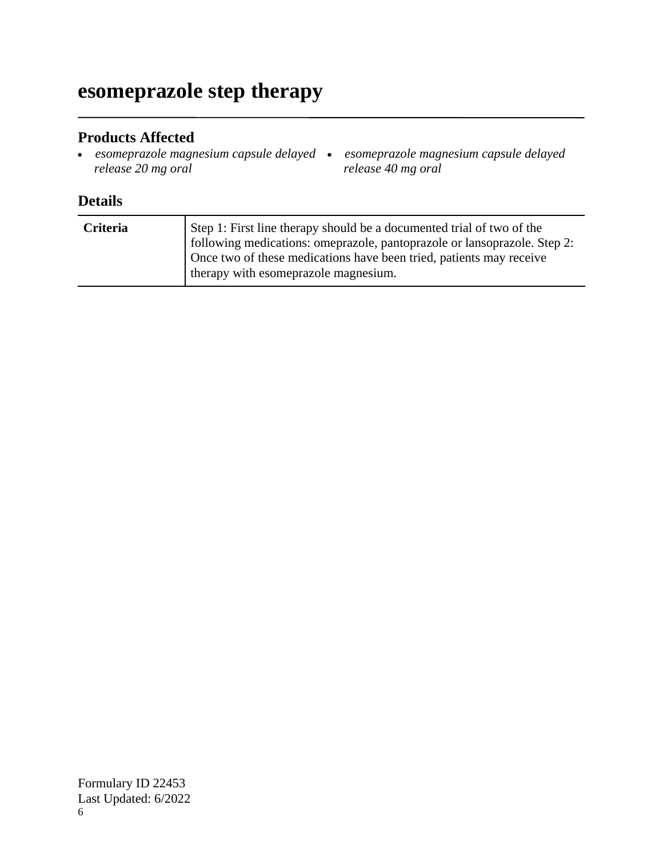# **esomeprazole step therapy**

#### **Products Affected**

- *esomeprazole magnesium capsule delayed release 20 mg oral*
	- *esomeprazole magnesium capsule delayed release 40 mg oral*

| <b>Criteria</b> | Step 1: First line therapy should be a documented trial of two of the<br>following medications: omeprazole, pantoprazole or lansoprazole. Step 2:<br>Once two of these medications have been tried, patients may receive<br>therapy with esomeprazole magnesium. |
|-----------------|------------------------------------------------------------------------------------------------------------------------------------------------------------------------------------------------------------------------------------------------------------------|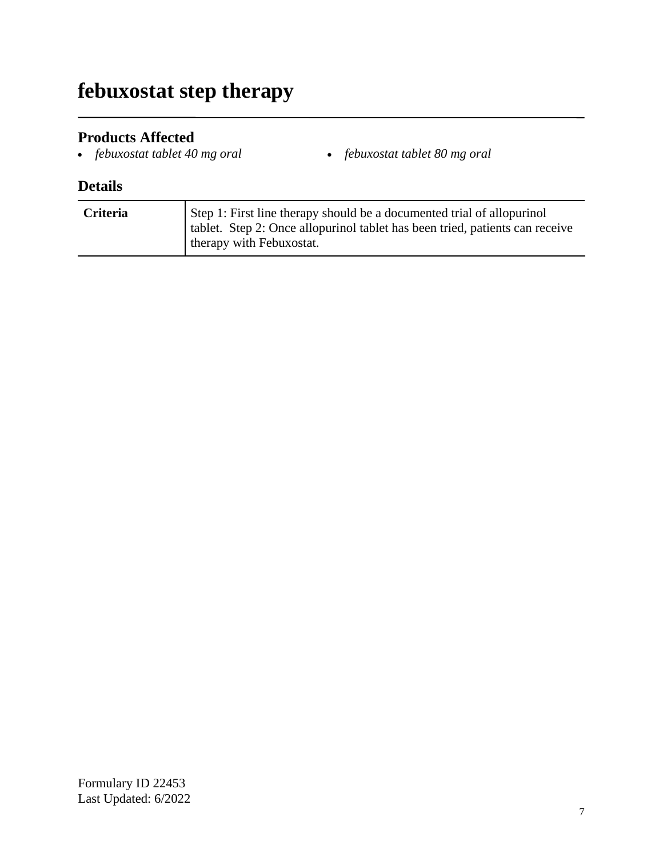# **febuxostat step therapy**

### **Products Affected**

- 
- *febuxostat tablet 40 mg oral febuxostat tablet 80 mg oral*

| Criteria | Step 1: First line therapy should be a documented trial of allopurinol<br>  tablet. Step 2: Once allopurinol tablet has been tried, patients can receive<br>therapy with Febuxostat. |
|----------|--------------------------------------------------------------------------------------------------------------------------------------------------------------------------------------|
|----------|--------------------------------------------------------------------------------------------------------------------------------------------------------------------------------------|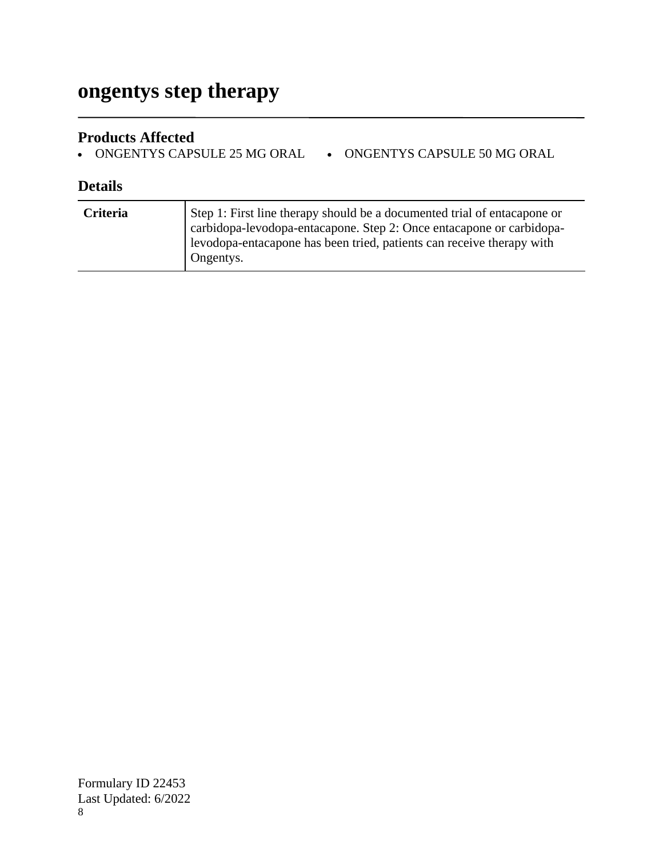# **ongentys step therapy**

### **Products Affected**

• ONGENTYS CAPSULE 25 MG ORAL • ONGENTYS CAPSULE 50 MG ORAL

| <b>Criteria</b> | Step 1: First line therapy should be a documented trial of entacapone or<br>carbidopa-levodopa-entacapone. Step 2: Once entacapone or carbidopa-<br>levodopa-entacapone has been tried, patients can receive therapy with<br>Ongentys. |
|-----------------|----------------------------------------------------------------------------------------------------------------------------------------------------------------------------------------------------------------------------------------|
|                 |                                                                                                                                                                                                                                        |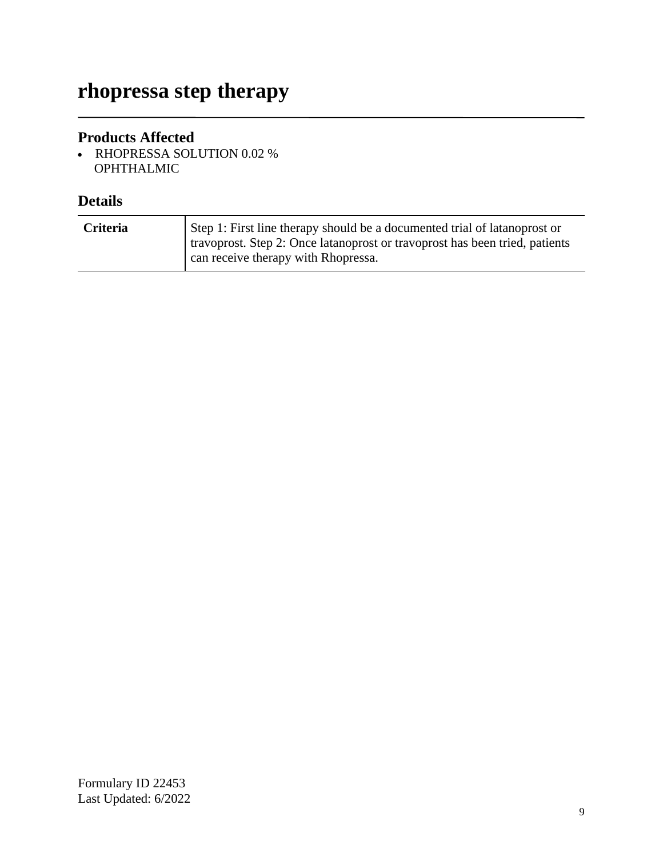# **rhopressa step therapy**

### **Products Affected**

 RHOPRESSA SOLUTION 0.02 % OPHTHALMIC

| <b>Criteria</b> | Step 1: First line therapy should be a documented trial of latanoprost or<br>travoprost. Step 2: Once latanoprost or travoprost has been tried, patients<br>can receive therapy with Rhopressa. |
|-----------------|-------------------------------------------------------------------------------------------------------------------------------------------------------------------------------------------------|
|-----------------|-------------------------------------------------------------------------------------------------------------------------------------------------------------------------------------------------|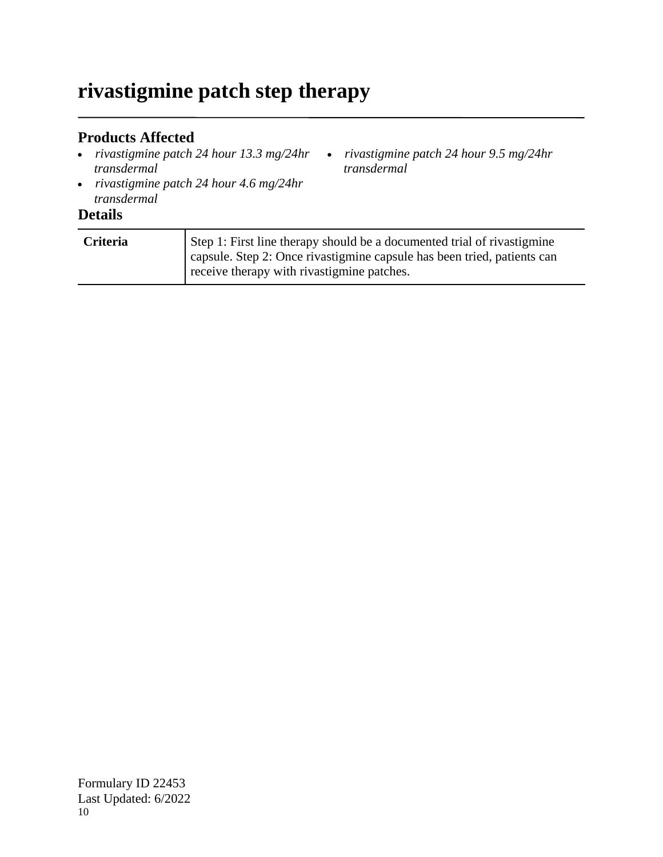# **rivastigmine patch step therapy**

### **Products Affected**

- *rivastigmine patch 24 hour 13.3 mg/24hr transdermal*
- *rivastigmine patch 24 hour 4.6 mg/24hr transdermal*

#### **Details**

| Criteria | Step 1: First line therapy should be a documented trial of rivastigmine<br>capsule. Step 2: Once rivastigmine capsule has been tried, patients can |
|----------|----------------------------------------------------------------------------------------------------------------------------------------------------|
|          | receive therapy with rivastigmine patches.                                                                                                         |

*rivastigmine patch 24 hour 9.5 mg/24hr* 

*transdermal*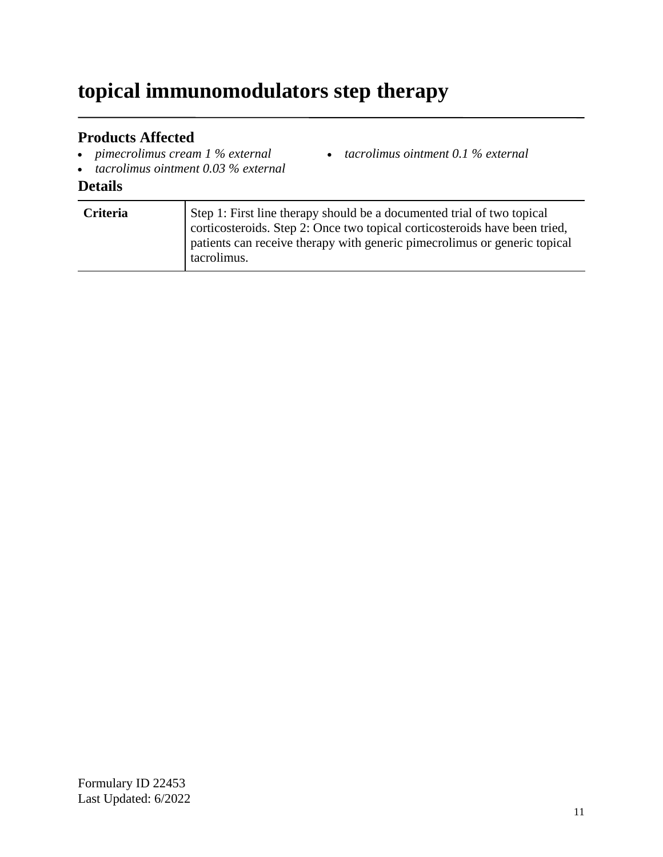# **topical immunomodulators step therapy**

### **Products Affected**

- *pimecrolimus cream 1 % external*
- *tacrolimus ointment 0.03 % external*

### **Details**

| Criteria | Step 1: First line therapy should be a documented trial of two topical<br>corticosteroids. Step 2: Once two topical corticosteroids have been tried,<br>patients can receive therapy with generic pimecrolimus or generic topical<br>tacrolimus. |
|----------|--------------------------------------------------------------------------------------------------------------------------------------------------------------------------------------------------------------------------------------------------|
|----------|--------------------------------------------------------------------------------------------------------------------------------------------------------------------------------------------------------------------------------------------------|

*tacrolimus ointment 0.1 % external*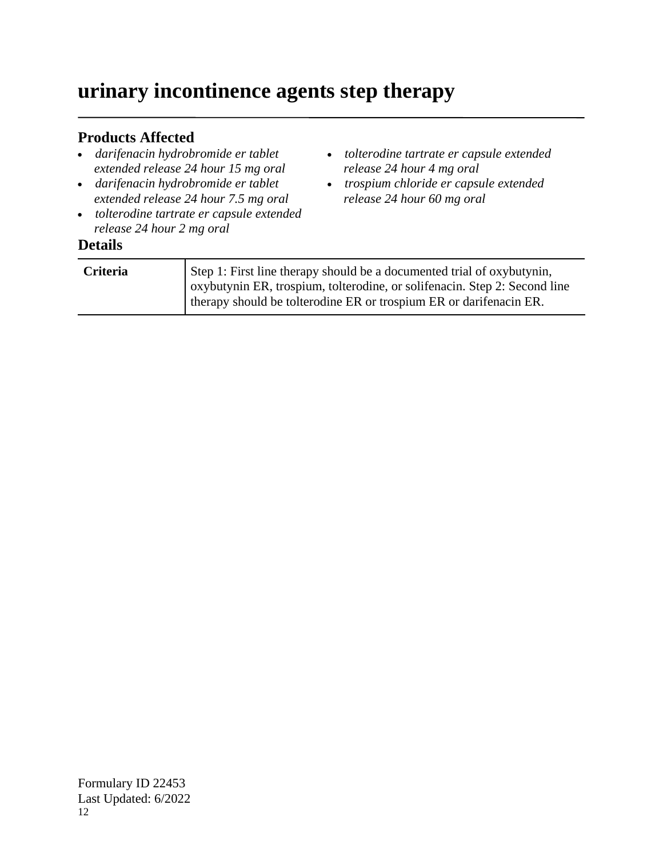# **urinary incontinence agents step therapy**

### **Products Affected**

- *darifenacin hydrobromide er tablet extended release 24 hour 15 mg oral*
- *darifenacin hydrobromide er tablet extended release 24 hour 7.5 mg oral*
- *tolterodine tartrate er capsule extended release 24 hour 2 mg oral*

# **Details**

| Step 1: First line therapy should be a documented trial of oxybutynin,<br>oxybutynin ER, trospium, tolterodine, or solifenacin. Step 2: Second line |  |
|-----------------------------------------------------------------------------------------------------------------------------------------------------|--|
| therapy should be tolterodine ER or trospium ER or darifenacin ER.                                                                                  |  |

*tolterodine tartrate er capsule extended* 

*trospium chloride er capsule extended* 

*release 24 hour 4 mg oral*

*release 24 hour 60 mg oral*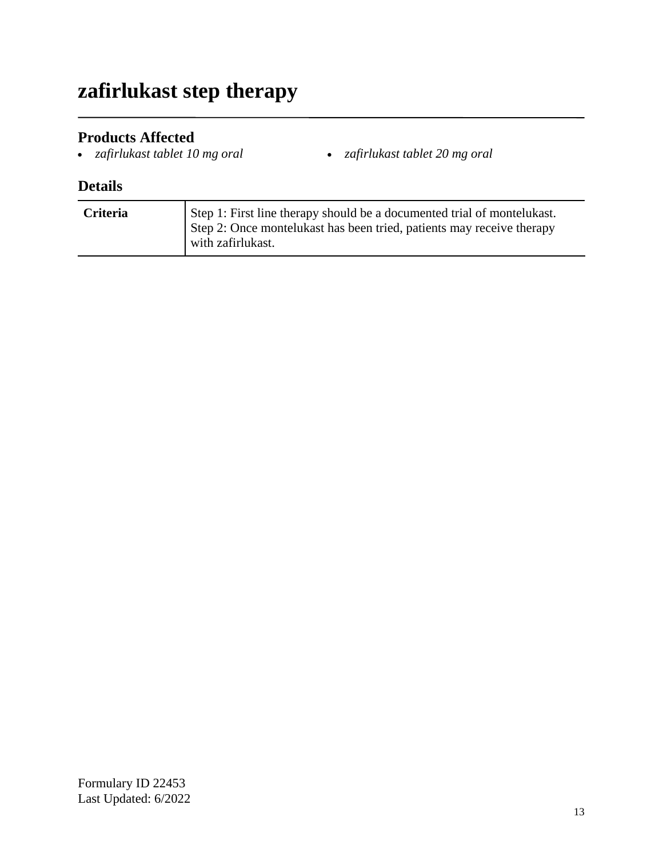# **zafirlukast step therapy**

- **Products Affected**<br>• zafirlukast tablet 10 mg oral
- *zafirlukast tablet 10 mg oral zafirlukast tablet 20 mg oral*

| <b>Criteria</b> | Step 1: First line therapy should be a documented trial of montelukast.<br>Step 2: Once montelukast has been tried, patients may receive therapy<br>with zafirlukast. |
|-----------------|-----------------------------------------------------------------------------------------------------------------------------------------------------------------------|
|-----------------|-----------------------------------------------------------------------------------------------------------------------------------------------------------------------|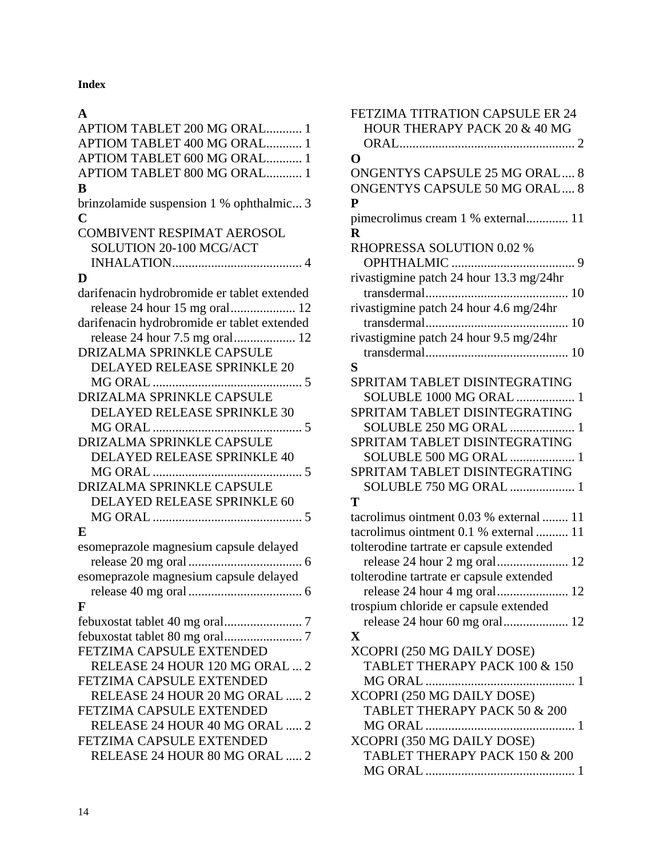**Index**

#### **A**

| APTIOM TABLET 200 MG ORAL 1                 |
|---------------------------------------------|
| APTIOM TABLET 400 MG ORAL 1                 |
| APTIOM TABLET 600 MG ORAL 1                 |
| APTIOM TABLET 800 MG ORAL 1                 |
| B                                           |
| brinzolamide suspension 1 % ophthalmic 3    |
| $\mathbf C$                                 |
| <b>COMBIVENT RESPIMAT AEROSOL</b>           |
| SOLUTION 20-100 MCG/ACT                     |
|                                             |
| D                                           |
| darifenacin hydrobromide er tablet extended |
| release 24 hour 15 mg oral 12               |
| darifenacin hydrobromide er tablet extended |
|                                             |
| DRIZALMA SPRINKLE CAPSULE                   |
| DELAYED RELEASE SPRINKLE 20                 |
| 5                                           |
| DRIZALMA SPRINKLE CAPSULE                   |
| DELAYED RELEASE SPRINKLE 30                 |
| 5                                           |
| <b>DRIZALMA SPRINKLE CAPSULE</b>            |
| DELAYED RELEASE SPRINKLE 40                 |
| $\cdots$<br>5                               |
| DRIZALMA SPRINKLE CAPSULE                   |
| DELAYED RELEASE SPRINKLE 60                 |
|                                             |
| E                                           |
| esomeprazole magnesium capsule delayed      |
|                                             |
| esomeprazole magnesium capsule delayed      |
|                                             |
| F                                           |
|                                             |
|                                             |
| FETZIMA CAPSULE EXTENDED                    |
| RELEASE 24 HOUR 120 MG ORAL  2              |
| <b>FETZIMA CAPSULE EXTENDED</b>             |
| RELEASE 24 HOUR 20 MG ORAL  2               |
| FETZIMA CAPSULE EXTENDED                    |
| RELEASE 24 HOUR 40 MG ORAL  2               |
| FETZIMA CAPSULE EXTENDED                    |
| RELEASE 24 HOUR 80 MG ORAL  2               |
|                                             |

| <b>FETZIMA TITRATION CAPSULE ER 24</b>   |
|------------------------------------------|
| HOUR THERAPY PACK 20 & 40 MG             |
|                                          |
| O                                        |
| <b>ONGENTYS CAPSULE 25 MG ORAL 8</b>     |
|                                          |
| <b>ONGENTYS CAPSULE 50 MG ORAL 8</b>     |
| P                                        |
| pimecrolimus cream 1 % external 11       |
| $\mathbf R$                              |
| RHOPRESSA SOLUTION 0.02 %                |
| OPHTHALMIC<br>9                          |
| rivastigmine patch 24 hour 13.3 mg/24hr  |
|                                          |
|                                          |
| rivastigmine patch 24 hour 4.6 mg/24hr   |
|                                          |
| rivastigmine patch 24 hour 9.5 mg/24hr   |
|                                          |
| S                                        |
| SPRITAM TABLET DISINTEGRATING            |
| SOLUBLE 1000 MG ORAL  1                  |
| SPRITAM TABLET DISINTEGRATING            |
| SOLUBLE 250 MG ORAL  1                   |
|                                          |
| SPRITAM TABLET DISINTEGRATING            |
| SOLUBLE 500 MG ORAL  1                   |
| SPRITAM TABLET DISINTEGRATING            |
| SOLUBLE 750 MG ORAL  1                   |
| T                                        |
| tacrolimus ointment 0.03 % external  11  |
| tacrolimus ointment 0.1 % external  11   |
| tolterodine tartrate er capsule extended |
|                                          |
|                                          |
| tolterodine tartrate er capsule extended |
|                                          |
| trospium chloride er capsule extended    |
| release 24 hour 60 mg oral 12            |
| $\mathbf X$                              |
| XCOPRI (250 MG DAILY DOSE)               |
| TABLET THERAPY PACK 100 & 150            |
|                                          |
|                                          |
| XCOPRI (250 MG DAILY DOSE)               |
| TABLET THERAPY PACK 50 & 200             |
| 1                                        |
| XCOPRI (350 MG DAILY DOSE)               |
| TABLET THERAPY PACK 150 & 200            |
|                                          |